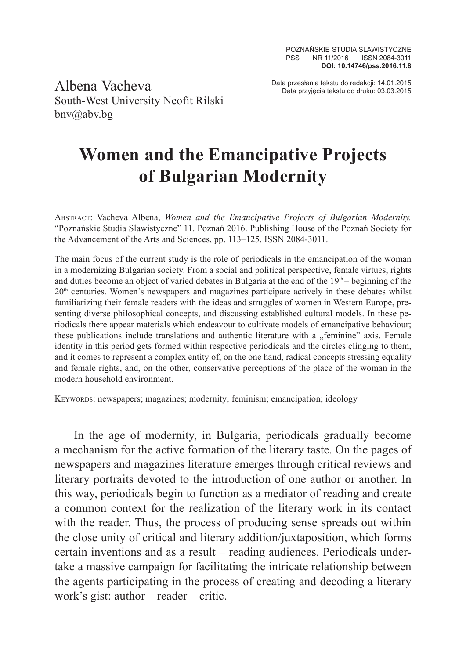Albena Vacheva South-West University Neofit Rilski bnv@abv.bg

Data przesłania tekstu do redakcji: 14.01.2015 Data przyjęcia tekstu do druku: 03.03.2015

## **Women and the Emancipative Projects of Bulgarian Modernity**

Abstract: Vacheva Albena, *Women and the Emancipative Projects of Bulgarian Modernity.* "Poznańskie Studia Slawistyczne" 11. Poznań 2016. Publishing House of the Poznań Society for the Advancement of the Arts and Sciences, pp. 113–125. ISSN 2084-3011.

The main focus of the current study is the role of periodicals in the emancipation of the woman in a modernizing Bulgarian society. From a social and political perspective, female virtues, rights and duties become an object of varied debates in Bulgaria at the end of the  $19<sup>th</sup>$  – beginning of the  $20<sup>th</sup>$  centuries. Women's newspapers and magazines participate actively in these debates whilst familiarizing their female readers with the ideas and struggles of women in Western Europe, presenting diverse philosophical concepts, and discussing established cultural models. In these periodicals there appear materials which endeavour to cultivate models of emancipative behaviour; these publications include translations and authentic literature with a "feminine" axis. Female identity in this period gets formed within respective periodicals and the circles clinging to them, and it comes to represent a complex entity of, on the one hand, radical concepts stressing equality and female rights, and, on the other, conservative perceptions of the place of the woman in the modern household environment.

Keywords: newspapers; magazines; modernity; feminism; emancipation; ideology

In the age of modernity, in Bulgaria, periodicals gradually become a mechanism for the active formation of the literary taste. On the pages of newspapers and magazines literature emerges through critical reviews and literary portraits devoted to the introduction of one author or another. In this way, periodicals begin to function as a mediator of reading and create a common context for the realization of the literary work in its contact with the reader. Thus, the process of producing sense spreads out within the close unity of critical and literary addition/juxtaposition, which forms certain inventions and as a result – reading audiences. Periodicals undertake a massive campaign for facilitating the intricate relationship between the agents participating in the process of creating and decoding a literary work's gist: author – reader – critic.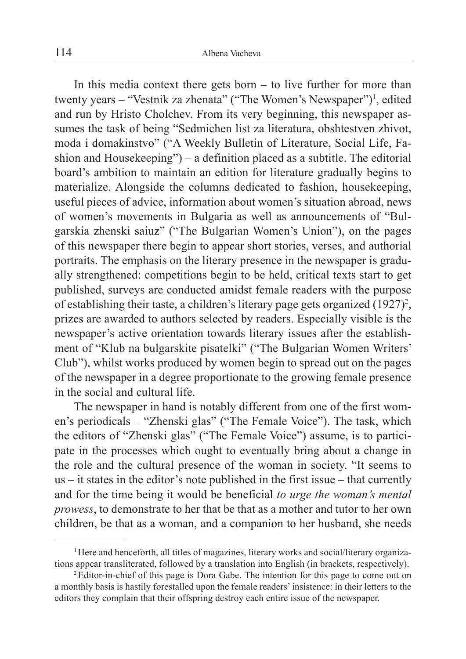In this media context there gets born  $-$  to live further for more than twenty years – "Vestnik za zhenata" ("The Women's Newspaper")<sup>1</sup>, edited and run by Hristo Cholchev. From its very beginning, this newspaper assumes the task of being "Sedmichen list za literatura, obshtestven zhivot, moda i domakinstvo" ("A Weekly Bulletin of Literature, Social Life, Fashion and Housekeeping") – a definition placed as a subtitle. The editorial board's ambition to maintain an edition for literature gradually begins to materialize. Alongside the columns dedicated to fashion, housekeeping, useful pieces of advice, information about women's situation abroad, news of women's movements in Bulgaria as well as announcements of "Bulgarskia zhenski saiuz" ("The Bulgarian Women's Union"), on the pages of this newspaper there begin to appear short stories, verses, and authorial portraits. The emphasis on the literary presence in the newspaper is gradually strengthened: competitions begin to be held, critical texts start to get published, surveys are conducted amidst female readers with the purpose of establishing their taste, a children's literary page gets organized  $(1927)^2$ , prizes are awarded to authors selected by readers. Especially visible is the newspaper's active orientation towards literary issues after the establishment of "Klub na bulgarskite pisatelki" ("The Bulgarian Women Writers' Club"), whilst works produced by women begin to spread out on the pages of the newspaper in a degree proportionate to the growing female presence in the social and cultural life.

The newspaper in hand is notably different from one of the first women's periodicals – "Zhenski glas" ("The Female Voice"). The task, which the editors of "Zhenski glas" ("The Female Voice") assume, is to participate in the processes which ought to eventually bring about a change in the role and the cultural presence of the woman in society. "It seems to us – it states in the editor's note published in the first issue – that currently and for the time being it would be beneficial *to urge the woman's mental prowess*, to demonstrate to her that be that as a mother and tutor to her own children, be that as a woman, and a companion to her husband, she needs

<sup>1</sup>Here and henceforth, all titles of magazines, literary works and social/literary organizations appear transliterated, followed by a translation into English (in brackets, respectively).<br><sup>2</sup>Editor-in-chief of this page is Dora Gabe. The intention for this page to come out on

a monthly basis is hastily forestalled upon the female readers' insistence: in their letters to the editors they complain that their offspring destroy each entire issue of the newspaper.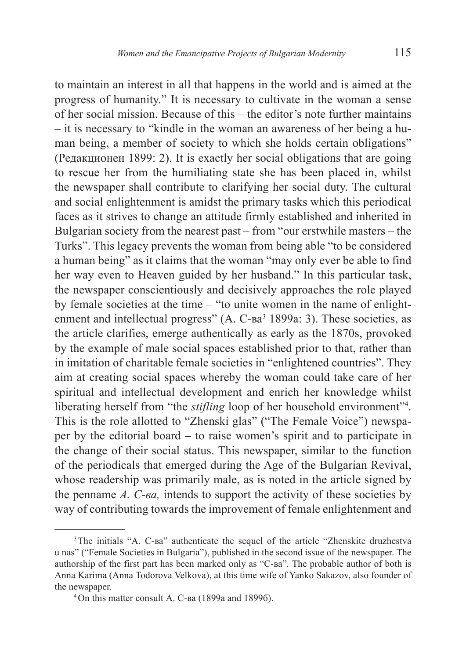to maintain an interest in all that happens in the world and is aimed at the progress of humanity." It is necessary to cultivate in the woman a sense of her social mission. Because of this – the editor's note further maintains – it is necessary to "kindle in the woman an awareness of her being a human being, a member of society to which she holds certain obligations" (Редакционен 1899: 2). It is exactly her social obligations that are going to rescue her from the humiliating state she has been placed in, whilst the newspaper shall contribute to clarifying her social duty. The cultural and social enlightenment is amidst the primary tasks which this periodical faces as it strives to change an attitude firmly established and inherited in Bulgarian society from the nearest past – from "our erstwhile masters – the Turks". This legacy prevents the woman from being able "to be considered a human being" as it claims that the woman "may only ever be able to find her way even to Heaven guided by her husband." In this particular task, the newspaper conscientiously and decisively approaches the role played by female societies at the time – "to unite women in the name of enlightenment and intellectual progress" (А. С-ва<sup>3</sup> 1899а: 3). These societies, as the article clarifies, emerge authentically as early as the 1870s, provoked by the example of male social spaces established prior to that, rather than in imitation of charitable female societies in "enlightened countries". They aim at creating social spaces whereby the woman could take care of her spiritual and intellectual development and enrich her knowledge whilst liberating herself from "the *stifling* loop of her household environment"<sup>4</sup>. This is the role allotted to "Zhenski glas" ("The Female Voice") newspaper by the editorial board – to raise women's spirit and to participate in the change of their social status. This newspaper, similar to the function of the periodicals that emerged during the Age of the Bulgarian Revival, whose readership was primarily male, as is noted in the article signed by the penname *А. С-ва,* intends to support the activity of these societies by way of contributing towards the improvement of female enlightenment and

<sup>&</sup>lt;sup>3</sup>The initials "А. С-ва" authenticate the sequel of the article "Zhenskite druzhestva u nas" ("Female Societies in Bulgaria"), published in the second issue of the newspaper. The authorship of the first part has been marked only as "С-ва"*.* The probable author of both is Anna Karima (Anna Todorova Velkova), at this time wife of Yanko Sakazov, also founder of the newspaper. 4On this matter consult А. С-ва (1899а and 1899б).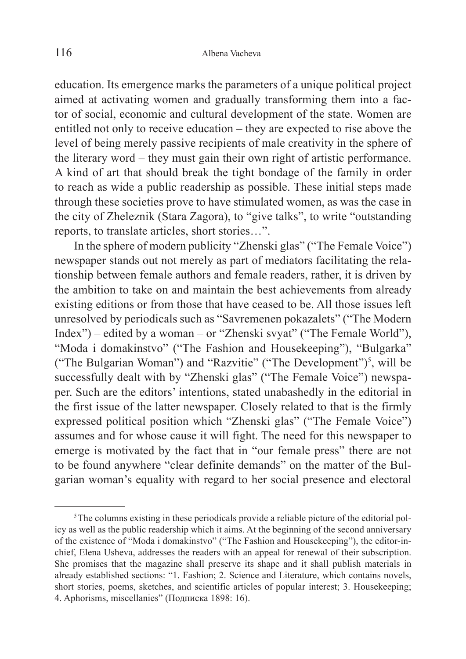education. Its emergence marks the parameters of a unique political project aimed at activating women and gradually transforming them into a factor of social, economic and cultural development of the state. Women are entitled not only to receive education – they are expected to rise above the level of being merely passive recipients of male creativity in the sphere of the literary word – they must gain their own right of artistic performance. A kind of art that should break the tight bondage of the family in order to reach as wide a public readership as possible. These initial steps made through these societies prove to have stimulated women, as was the case in the city of Zheleznik (Stara Zagora), to "give talks", to write "outstanding reports, to translate articles, short stories…".

In the sphere of modern publicity "Zhenski glas" ("The Female Voice") newspaper stands out not merely as part of mediators facilitating the relationship between female authors and female readers, rather, it is driven by the ambition to take on and maintain the best achievements from already existing editions or from those that have ceased to be. All those issues left unresolved by periodicals such as "Savremenen pokazalets" ("The Modern Index") – edited by a woman – or "Zhenski svyat" ("The Female World"), "Moda i domakinstvo" ("The Fashion and Housekeeping"), "Bulgarka" ("The Bulgarian Woman") and "Razvitie" ("The Development")<sup>5</sup>, will be successfully dealt with by "Zhenski glas" ("The Female Voice") newspaper. Such are the editors' intentions, stated unabashedly in the editorial in the first issue of the latter newspaper. Closely related to that is the firmly expressed political position which "Zhenski glas" ("The Female Voice") assumes and for whose cause it will fight. The need for this newspaper to emerge is motivated by the fact that in "our female press" there are not to be found anywhere "clear definite demands" on the matter of the Bulgarian woman's equality with regard to her social presence and electoral

<sup>&</sup>lt;sup>5</sup>The columns existing in these periodicals provide a reliable picture of the editorial policy as well as the public readership which it aims. At the beginning of the second anniversary of the existence of "Moda i domakinstvo" ("The Fashion and Housekeeping"), the editor-inchief, Elena Usheva, addresses the readers with an appeal for renewal of their subscription. She promises that the magazine shall preserve its shape and it shall publish materials in already established sections: "1. Fashion; 2. Science and Literature, which contains novels, short stories, poems, sketches, and scientific articles of popular interest; 3. Housekeeping; 4. Aphorisms, miscellanies" (Подписка 1898: 16).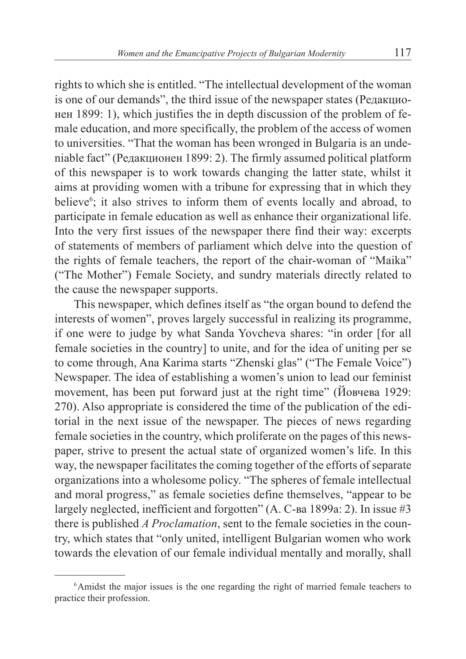rights to which she is entitled. "The intellectual development of the woman is one of our demands", the third issue of the newspaper states (Редакционен 1899: 1), which justifies the in depth discussion of the problem of female education, and more specifically, the problem of the access of women to universities. "That the woman has been wronged in Bulgaria is an undeniable fact" (Редакционен 1899: 2). The firmly assumed political platform of this newspaper is to work towards changing the latter state, whilst it aims at providing women with a tribune for expressing that in which they believe<sup>6</sup>; it also strives to inform them of events locally and abroad, to participate in female education as well as enhance their organizational life. Into the very first issues of the newspaper there find their way: excerpts of statements of members of parliament which delve into the question of the rights of female teachers, the report of the chair-woman of "Maika" ("The Mother") Female Society, and sundry materials directly related to the cause the newspaper supports.

This newspaper, which defines itself as "the organ bound to defend the interests of women", proves largely successful in realizing its programme, if one were to judge by what Sanda Yovcheva shares: "in order [for all female societies in the country] to unite, and for the idea of uniting per se to come through, Ana Karima starts "Zhenski glas" ("The Female Voice") Newspaper. The idea of establishing a women's union to lead our feminist movement, has been put forward just at the right time" (Йовчева 1929: 270). Also appropriate is considered the time of the publication of the editorial in the next issue of the newspaper. The pieces of news regarding female societies in the country, which proliferate on the pages of this newspaper, strive to present the actual state of organized women's life. In this way, the newspaper facilitates the coming together of the efforts of separate organizations into a wholesome policy. "The spheres of female intellectual and moral progress," as female societies define themselves, "appear to be largely neglected, inefficient and forgotten" (А. С-ва 1899a: 2). In issue #3 there is published *A Proclamation*, sent to the female societies in the country, which states that "only united, intelligent Bulgarian women who work towards the elevation of our female individual mentally and morally, shall

<sup>&</sup>lt;sup>6</sup>Amidst the major issues is the one regarding the right of married female teachers to practice their profession.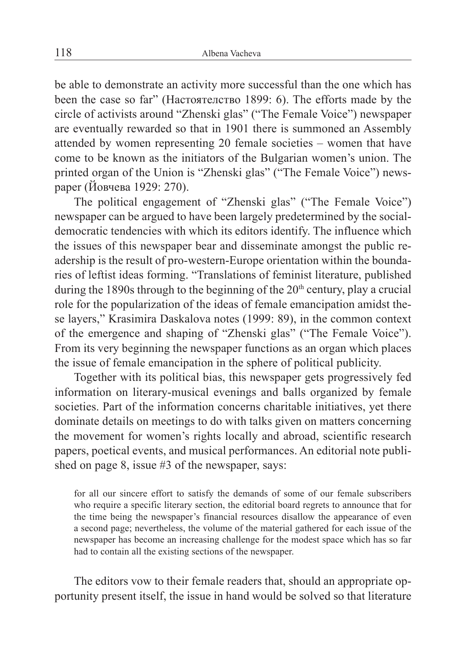be able to demonstrate an activity more successful than the one which has been the case so far" (Настоятелство 1899: 6). The efforts made by the circle of activists around "Zhenski glas" ("The Female Voice") newspaper are eventually rewarded so that in 1901 there is summoned an Assembly attended by women representing 20 female societies – women that have come to be known as the initiators of the Bulgarian women's union. The printed organ of the Union is "Zhenski glas" ("The Female Voice") newspaper (Йовчева 1929: 270).

The political engagement of "Zhenski glas" ("The Female Voice") newspaper can be argued to have been largely predetermined by the socialdemocratic tendencies with which its editors identify. The influence which the issues of this newspaper bear and disseminate amongst the public readership is the result of pro-western-Europe orientation within the boundaries of leftist ideas forming. "Translations of feminist literature, published during the 1890s through to the beginning of the  $20<sup>th</sup>$  century, play a crucial role for the popularization of the ideas of female emancipation amidst these layers," Krasimira Daskalova notes (1999: 89), in the common context of the emergence and shaping of "Zhenski glas" ("The Female Voice"). From its very beginning the newspaper functions as an organ which places the issue of female emancipation in the sphere of political publicity.

Together with its political bias, this newspaper gets progressively fed information on literary-musical evenings and balls organized by female societies. Part of the information concerns charitable initiatives, yet there dominate details on meetings to do with talks given on matters concerning the movement for women's rights locally and abroad, scientific research papers, poetical events, and musical performances. An editorial note published on page 8, issue #3 of the newspaper, says:

for all our sincere effort to satisfy the demands of some of our female subscribers who require a specific literary section, the editorial board regrets to announce that for the time being the newspaper's financial resources disallow the appearance of even a second page; nevertheless, the volume of the material gathered for each issue of the newspaper has become an increasing challenge for the modest space which has so far had to contain all the existing sections of the newspaper.

The editors vow to their female readers that, should an appropriate opportunity present itself, the issue in hand would be solved so that literature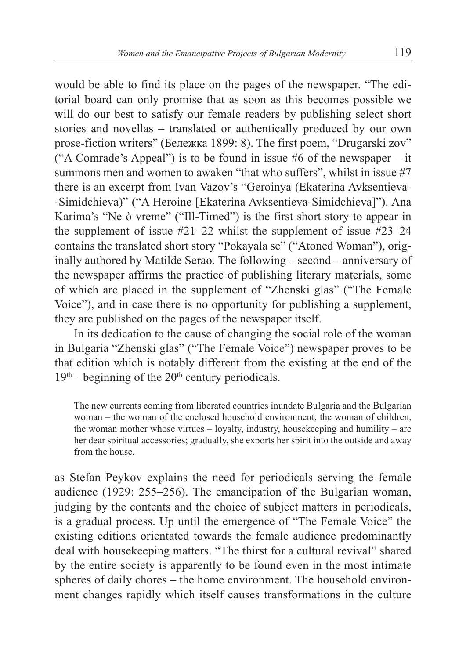would be able to find its place on the pages of the newspaper. "The editorial board can only promise that as soon as this becomes possible we will do our best to satisfy our female readers by publishing select short stories and novellas – translated or authentically produced by our own prose-fiction writers" (Бележка 1899: 8). The first poem, "Drugarski zov" ("A Comrade's Appeal") is to be found in issue  $#6$  of the newspaper – it summons men and women to awaken "that who suffers", whilst in issue #7 there is an excerpt from Ivan Vazov's "Geroinya (Ekaterina Avksentieva- -Simidchieva)" ("A Heroine [Ekaterina Avksentieva-Simidchieva]"). Ana Karima's "Ne ò vreme" ("Ill-Timed") is the first short story to appear in the supplement of issue  $#21-22$  whilst the supplement of issue  $#23-24$ contains the translated short story "Pokayala se" ("Atoned Woman"), originally authored by Matilde Serao. The following – second – anniversary of the newspaper affirms the practice of publishing literary materials, some of which are placed in the supplement of "Zhenski glas" ("The Female Voice"), and in case there is no opportunity for publishing a supplement, they are published on the pages of the newspaper itself.

In its dedication to the cause of changing the social role of the woman in Bulgaria "Zhenski glas" ("The Female Voice") newspaper proves to be that edition which is notably different from the existing at the end of the  $19<sup>th</sup>$  – beginning of the  $20<sup>th</sup>$  century periodicals.

The new currents coming from liberated countries inundate Bulgaria and the Bulgarian woman – the woman of the enclosed household environment, the woman of children, the woman mother whose virtues – loyalty, industry, housekeeping and humility – are her dear spiritual accessories; gradually, she exports her spirit into the outside and away from the house,

as Stefan Peykov explains the need for periodicals serving the female audience (1929: 255–256). The emancipation of the Bulgarian woman, judging by the contents and the choice of subject matters in periodicals, is a gradual process. Up until the emergence of "The Female Voice" the existing editions orientated towards the female audience predominantly deal with housekeeping matters. "The thirst for a cultural revival" shared by the entire society is apparently to be found even in the most intimate spheres of daily chores – the home environment. The household environment changes rapidly which itself causes transformations in the culture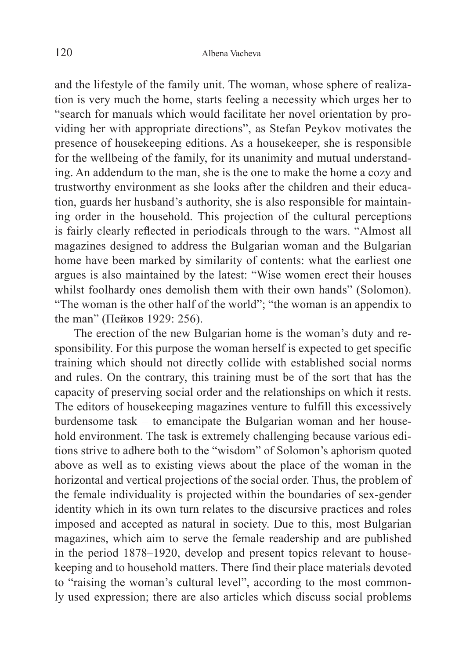and the lifestyle of the family unit. The woman, whose sphere of realization is very much the home, starts feeling a necessity which urges her to "search for manuals which would facilitate her novel orientation by providing her with appropriate directions", as Stefan Peykov motivates the presence of housekeeping editions. As a housekeeper, she is responsible for the wellbeing of the family, for its unanimity and mutual understanding. An addendum to the man, she is the one to make the home a cozy and trustworthy environment as she looks after the children and their education, guards her husband's authority, she is also responsible for maintaining order in the household. This projection of the cultural perceptions is fairly clearly reflected in periodicals through to the wars. "Almost all magazines designed to address the Bulgarian woman and the Bulgarian home have been marked by similarity of contents: what the earliest one argues is also maintained by the latest: "Wise women erect their houses whilst foolhardy ones demolish them with their own hands" (Solomon). "The woman is the other half of the world"; "the woman is an appendix to the man" (Пейков 1929: 256).

The erection of the new Bulgarian home is the woman's duty and responsibility. For this purpose the woman herself is expected to get specific training which should not directly collide with established social norms and rules. On the contrary, this training must be of the sort that has the capacity of preserving social order and the relationships on which it rests. The editors of housekeeping magazines venture to fulfill this excessively burdensome task – to emancipate the Bulgarian woman and her household environment. The task is extremely challenging because various editions strive to adhere both to the "wisdom" of Solomon's aphorism quoted above as well as to existing views about the place of the woman in the horizontal and vertical projections of the social order. Thus, the problem of the female individuality is projected within the boundaries of sex-gender identity which in its own turn relates to the discursive practices and roles imposed and accepted as natural in society. Due to this, most Bulgarian magazines, which aim to serve the female readership and are published in the period 1878–1920, develop and present topics relevant to housekeeping and to household matters. There find their place materials devoted to "raising the woman's cultural level", according to the most commonly used expression; there are also articles which discuss social problems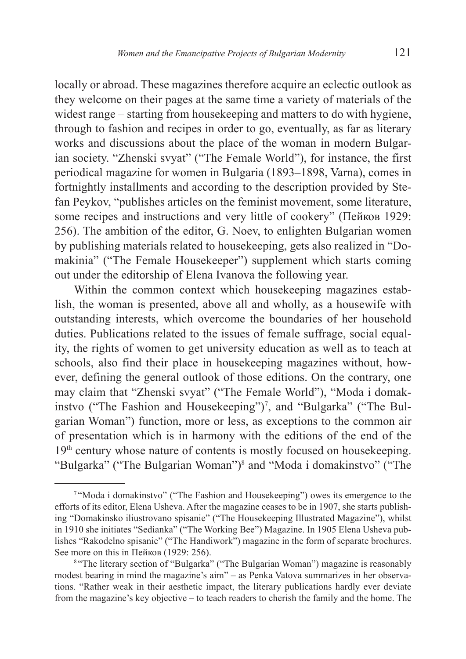locally or abroad. These magazines therefore acquire an eclectic outlook as they welcome on their pages at the same time a variety of materials of the widest range – starting from housekeeping and matters to do with hygiene, through to fashion and recipes in order to go, eventually, as far as literary works and discussions about the place of the woman in modern Bulgarian society. "Zhenski svyat" ("The Female World"), for instance, the first periodical magazine for women in Bulgaria (1893–1898, Varna), comes in fortnightly installments and according to the description provided by Stefan Peykov, "publishes articles on the feminist movement, some literature, some recipes and instructions and very little of cookery" (Пейков 1929: 256). The ambition of the editor, G. Noev, to enlighten Bulgarian women by publishing materials related to housekeeping, gets also realized in "Domakinia" ("The Female Housekeeper") supplement which starts coming out under the editorship of Elena Ivanova the following year.

Within the common context which housekeeping magazines establish, the woman is presented, above all and wholly, as a housewife with outstanding interests, which overcome the boundaries of her household duties. Publications related to the issues of female suffrage, social equality, the rights of women to get university education as well as to teach at schools, also find their place in housekeeping magazines without, however, defining the general outlook of those editions. On the contrary, one may claim that "Zhenski svyat" ("The Female World"), "Moda i domakinstvo ("The Fashion and Housekeeping")<sup>7</sup>, and "Bulgarka" ("The Bulgarian Woman") function, more or less, as exceptions to the common air of presentation which is in harmony with the editions of the end of the 19<sup>th</sup> century whose nature of contents is mostly focused on housekeeping. "Bulgarka" ("The Bulgarian Woman")8 and "Moda i domakinstvo" ("The

<sup>7</sup> "Moda i domakinstvo" ("The Fashion and Housekeeping") owes its emergence to the efforts of its editor, Elena Usheva. After the magazine ceases to be in 1907, she starts publishing "Domakinsko iliustrovano spisanie" ("The Housekeeping Illustrated Magazine"), whilst in 1910 she initiates "Sedianka" ("The Working Bee") Magazine. In 1905 Elena Usheva publishes "Rakodelno spisanie" ("The Handiwork") magazine in the form of separate brochures.

<sup>&</sup>lt;sup>8</sup> "The literary section of "Bulgarka" ("The Bulgarian Woman") magazine is reasonably modest bearing in mind the magazine's aim" – as Penka Vatova summarizes in her observations. "Rather weak in their aesthetic impact, the literary publications hardly ever deviate from the magazine's key objective – to teach readers to cherish the family and the home. The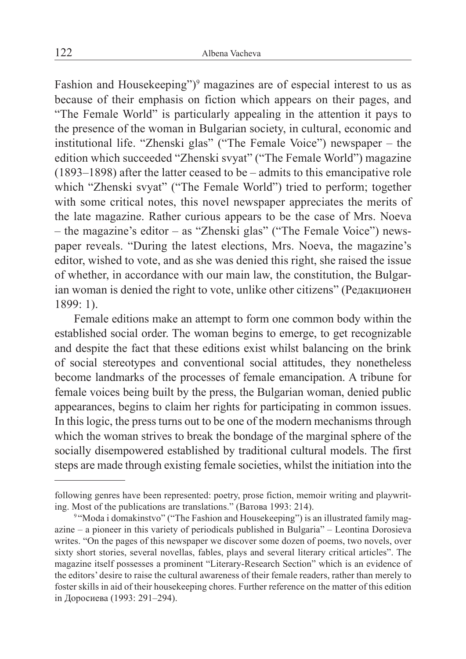Fashion and Housekeeping")<sup>9</sup> magazines are of especial interest to us as because of their emphasis on fiction which appears on their pages, and "The Female World" is particularly appealing in the attention it pays to the presence of the woman in Bulgarian society, in cultural, economic and institutional life. "Zhenski glas" ("The Female Voice") newspaper – the edition which succeeded "Zhenski svyat" ("The Female World") magazine (1893–1898) after the latter ceased to be – admits to this emancipative role which "Zhenski svyat" ("The Female World") tried to perform; together with some critical notes, this novel newspaper appreciates the merits of the late magazine. Rather curious appears to be the case of Mrs. Noeva – the magazine's editor – as "Zhenski glas" ("The Female Voice") newspaper reveals. "During the latest elections, Mrs. Noeva, the magazine's editor, wished to vote, and as she was denied this right, she raised the issue of whether, in accordance with our main law, the constitution, the Bulgarian woman is denied the right to vote, unlike other citizens" (Редакционен 1899: 1).

Female editions make an attempt to form one common body within the established social order. The woman begins to emerge, to get recognizable and despite the fact that these editions exist whilst balancing on the brink of social stereotypes and conventional social attitudes, they nonetheless become landmarks of the processes of female emancipation. A tribune for female voices being built by the press, the Bulgarian woman, denied public appearances, begins to claim her rights for participating in common issues. In this logic, the press turns out to be one of the modern mechanisms through which the woman strives to break the bondage of the marginal sphere of the socially disempowered established by traditional cultural models. The first steps are made through existing female societies, whilst the initiation into the

following genres have been represented: poetry, prose fiction, memoir writing and playwriting. Most of the publications are translations." (Ватова 1993: 214).

<sup>&</sup>lt;sup>9</sup> "Moda i domakinstvo" ("The Fashion and Housekeeping") is an illustrated family magazine – a pioneer in this variety of periodicals published in Bulgaria" – Leontina Dorosieva writes. "On the pages of this newspaper we discover some dozen of poems, two novels, over sixty short stories, several novellas, fables, plays and several literary critical articles". The magazine itself possesses a prominent "Literary-Research Section" which is an evidence of the editors' desire to raise the cultural awareness of their female readers, rather than merely to foster skills in aid of their housekeeping chores. Further reference on the matter of this edition in Доросиева (1993: 291–294).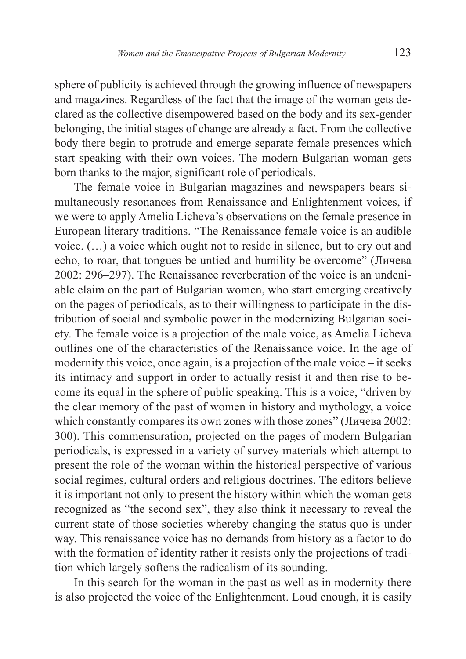sphere of publicity is achieved through the growing influence of newspapers and magazines. Regardless of the fact that the image of the woman gets declared as the collective disempowered based on the body and its sex-gender belonging, the initial stages of change are already a fact. From the collective body there begin to protrude and emerge separate female presences which start speaking with their own voices. The modern Bulgarian woman gets born thanks to the major, significant role of periodicals.

The female voice in Bulgarian magazines and newspapers bears simultaneously resonances from Renaissance and Enlightenment voices, if we were to apply Amelia Licheva's observations on the female presence in European literary traditions. "The Renaissance female voice is an audible voice. (…) a voice which ought not to reside in silence, but to cry out and echo, to roar, that tongues be untied and humility be overcome" (Личева 2002: 296–297). The Renaissance reverberation of the voice is an undeniable claim on the part of Bulgarian women, who start emerging creatively on the pages of periodicals, as to their willingness to participate in the distribution of social and symbolic power in the modernizing Bulgarian society. The female voice is a projection of the male voice, as Amelia Licheva outlines one of the characteristics of the Renaissance voice. In the age of modernity this voice, once again, is a projection of the male voice – it seeks its intimacy and support in order to actually resist it and then rise to become its equal in the sphere of public speaking. This is a voice, "driven by the clear memory of the past of women in history and mythology, a voice which constantly compares its own zones with those zones" (Личева 2002: 300). This commensuration, projected on the pages of modern Bulgarian periodicals, is expressed in a variety of survey materials which attempt to present the role of the woman within the historical perspective of various social regimes, cultural orders and religious doctrines. The editors believe it is important not only to present the history within which the woman gets recognized as "the second sex", they also think it necessary to reveal the current state of those societies whereby changing the status quo is under way. This renaissance voice has no demands from history as a factor to do with the formation of identity rather it resists only the projections of tradition which largely softens the radicalism of its sounding.

In this search for the woman in the past as well as in modernity there is also projected the voice of the Enlightenment. Loud enough, it is easily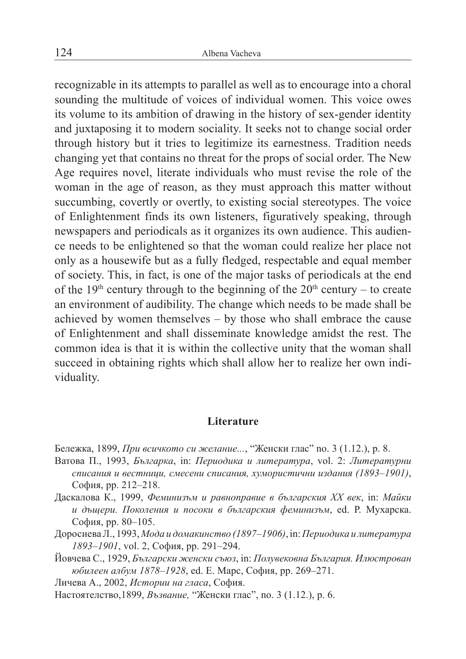recognizable in its attempts to parallel as well as to encourage into a choral sounding the multitude of voices of individual women. This voice owes its volume to its ambition of drawing in the history of sex-gender identity and juxtaposing it to modern sociality. It seeks not to change social order through history but it tries to legitimize its earnestness. Tradition needs changing yet that contains no threat for the props of social order. The New Age requires novel, literate individuals who must revise the role of the woman in the age of reason, as they must approach this matter without succumbing, covertly or overtly, to existing social stereotypes. The voice of Enlightenment finds its own listeners, figuratively speaking, through newspapers and periodicals as it organizes its own audience. This audience needs to be enlightened so that the woman could realize her place not only as a housewife but as a fully fledged, respectable and equal member of society. This, in fact, is one of the major tasks of periodicals at the end of the 19<sup>th</sup> century through to the beginning of the  $20<sup>th</sup>$  century – to create an environment of audibility. The change which needs to be made shall be achieved by women themselves – by those who shall embrace the cause of Enlightenment and shall disseminate knowledge amidst the rest. The common idea is that it is within the collective unity that the woman shall succeed in obtaining rights which shall allow her to realize her own individuality.

## **Literature**

Бележка, 1899, *При всичкото си желание...*, "Женски глас" no. 3 (1.12.), p. 8.

- Ватова П., 1993, *Българка*, in: *Периодика и литература*, vol. 2: *Литературни списания и вестници, смесени списания, хумористични издания (1893–1901)*, София, pp. 212–218.
- Даскалова К., 1999, *Феминизъм и равноправие в българския ХХ век*, in: *Майки и дъщери. Поколения и посоки в българския феминизъм*, ed. Р. Мухарска. София, pp. 80–105.
- Доросиева Л., 1993, *Мода и домакинство (1897*–*1906)*, in: *Периодика и литература 1893–1901*, vol. 2, София, pp. 291–294.

Йовчева С., 1929, *Български женски съюз*, in: *Полувековна България. Илюстрован юбилеен албум 1878–1928*, ed. Е. Марс, София, pp. 269–271.

Личева А., 2002, *Истории на гласа*, София.

Настоятелство,1899, *Възвание,* "Женски глас", no. 3 (1.12.), p. 6.